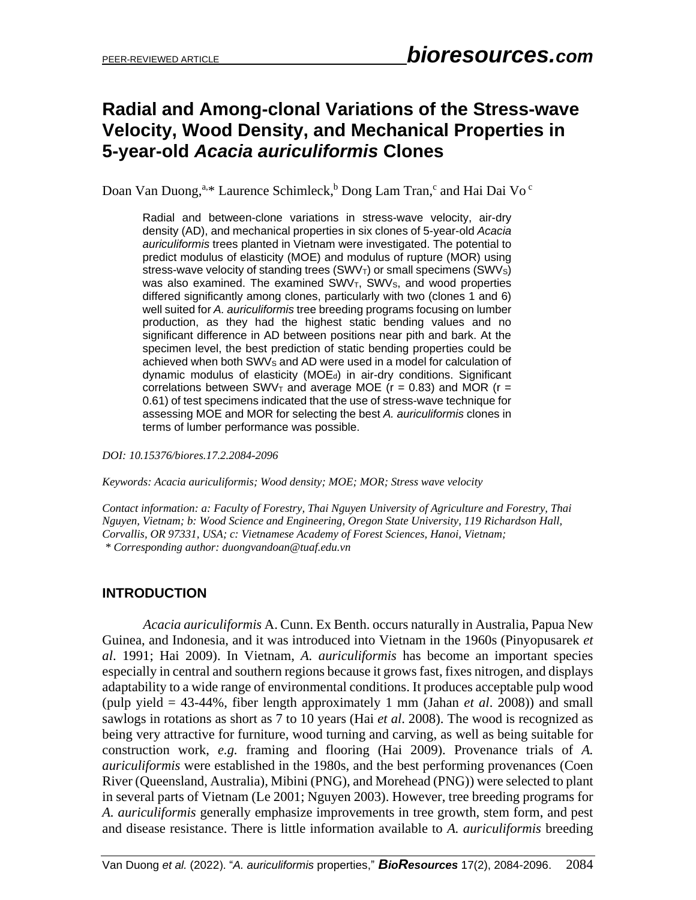## **Radial and Among-clonal Variations of the Stress-wave Velocity, Wood Density, and Mechanical Properties in 5-year-old** *Acacia auriculiformis* **Clones**

Doan Van Duong,<sup>a,\*</sup> Laurence Schimleck,<sup>b</sup> Dong Lam Tran,<sup>c</sup> and Hai Dai Vo<sup>c</sup>

Radial and between-clone variations in stress-wave velocity, air-dry density (AD), and mechanical properties in six clones of 5-year-old *Acacia auriculiformis* trees planted in Vietnam were investigated. The potential to predict modulus of elasticity (MOE) and modulus of rupture (MOR) using stress-wave velocity of standing trees  $(SWV<sub>T</sub>)$  or small specimens  $(SWV<sub>S</sub>)$ was also examined. The examined SWV<sub>T</sub>, SWV<sub>s</sub>, and wood properties differed significantly among clones, particularly with two (clones 1 and 6) well suited for *A. auriculiformis* tree breeding programs focusing on lumber production, as they had the highest static bending values and no significant difference in AD between positions near pith and bark. At the specimen level, the best prediction of static bending properties could be achieved when both SWVs and AD were used in a model for calculation of dynamic modulus of elasticity (MOEd) in air-dry conditions. Significant correlations between SWV<sub>T</sub> and average MOE ( $r = 0.83$ ) and MOR ( $r =$ 0.61) of test specimens indicated that the use of stress-wave technique for assessing MOE and MOR for selecting the best *A. auriculiformis* clones in terms of lumber performance was possible.

*DOI: 10.15376/biores.17.2.2084-2096*

*Keywords: Acacia auriculiformis; Wood density; MOE; MOR; Stress wave velocity*

*Contact information: a: Faculty of Forestry, Thai Nguyen University of Agriculture and Forestry, Thai Nguyen, Vietnam; b: Wood Science and Engineering, Oregon State University, 119 Richardson Hall, Corvallis, OR 97331, USA; c: Vietnamese Academy of Forest Sciences, Hanoi, Vietnam; \* Corresponding author[: duongvandoan@tuaf.edu.vn](mailto:duongvandoan@tuaf.edu.vn)*

### **INTRODUCTION**

*Acacia auriculiformis* A. Cunn. Ex Benth. occurs naturally in Australia, Papua New Guinea, and Indonesia, and it was introduced into Vietnam in the 1960s (Pinyopusarek *et al*. 1991; Hai 2009). In Vietnam, *A. auriculiformis* has become an important species especially in central and southern regions because it grows fast, fixes nitrogen, and displays adaptability to a wide range of environmental conditions. It produces acceptable pulp wood (pulp yield = 43-44%, fiber length approximately 1 mm (Jahan *et al*. 2008)) and small sawlogs in rotations as short as 7 to 10 years (Hai *et al*. 2008). The wood is recognized as being very attractive for furniture, wood turning and carving, as well as being suitable for construction work, *e.g.* framing and flooring (Hai 2009). Provenance trials of *A. auriculiformis* were established in the 1980s, and the best performing provenances (Coen River (Queensland, Australia), Mibini (PNG), and Morehead (PNG)) were selected to plant in several parts of Vietnam (Le 2001; Nguyen 2003). However, tree breeding programs for *A. auriculiformis* generally emphasize improvements in tree growth, stem form, and pest and disease resistance. There is little information available to *A. auriculiformis* breeding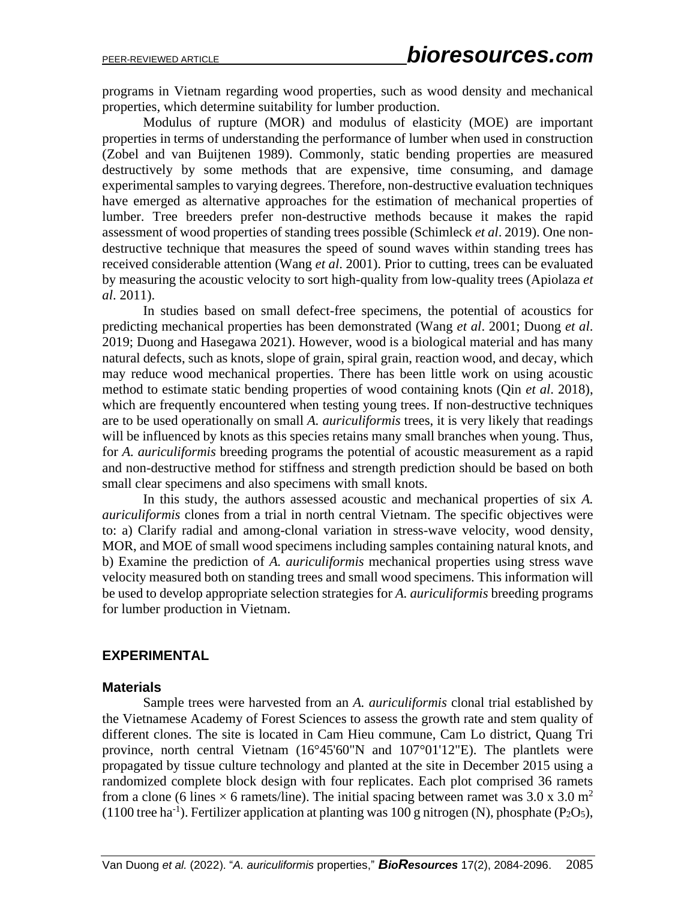programs in Vietnam regarding wood properties, such as wood density and mechanical properties, which determine suitability for lumber production.

Modulus of rupture (MOR) and modulus of elasticity (MOE) are important properties in terms of understanding the performance of lumber when used in construction (Zobel and van Buijtenen 1989). Commonly, static bending properties are measured destructively by some methods that are expensive, time consuming, and damage experimental samples to varying degrees. Therefore, non-destructive evaluation techniques have emerged as alternative approaches for the estimation of mechanical properties of lumber. Tree breeders prefer non-destructive methods because it makes the rapid assessment of wood properties of standing trees possible (Schimleck *et al*. 2019). One nondestructive technique that measures the speed of sound waves within standing trees has received considerable attention (Wang *et al*. 2001). Prior to cutting, trees can be evaluated by measuring the acoustic velocity to sort high-quality from low-quality trees (Apiolaza *et al*. 2011).

In studies based on small defect-free specimens, the potential of acoustics for predicting mechanical properties has been demonstrated (Wang *et al*. 2001; Duong *et al*. 2019; Duong and Hasegawa 2021). However, wood is a biological material and has many natural defects, such as knots, slope of grain, spiral grain, reaction wood, and decay, which may reduce wood mechanical properties. There has been little work on using acoustic method to estimate static bending properties of wood containing knots (Qin *et al*. 2018), which are frequently encountered when testing young trees. If non-destructive techniques are to be used operationally on small *A. auriculiformis* trees, it is very likely that readings will be influenced by knots as this species retains many small branches when young. Thus, for *A. auriculiformis* breeding programs the potential of acoustic measurement as a rapid and non-destructive method for stiffness and strength prediction should be based on both small clear specimens and also specimens with small knots.

In this study, the authors assessed acoustic and mechanical properties of six *A. auriculiformis* clones from a trial in north central Vietnam. The specific objectives were to: a) Clarify radial and among-clonal variation in stress-wave velocity, wood density, MOR, and MOE of small wood specimens including samples containing natural knots, and b) Examine the prediction of *A. auriculiformis* mechanical properties using stress wave velocity measured both on standing trees and small wood specimens. This information will be used to develop appropriate selection strategies for *A. auriculiformis* breeding programs for lumber production in Vietnam.

### **EXPERIMENTAL**

### **Materials**

Sample trees were harvested from an *A. auriculiformis* clonal trial established by the Vietnamese Academy of Forest Sciences to assess the growth rate and stem quality of different clones. The site is located in Cam Hieu commune, Cam Lo district, Quang Tri province, north central Vietnam (16°45'60"N and 107°01'12"E). The plantlets were propagated by tissue culture technology and planted at the site in December 2015 using a randomized complete block design with four replicates. Each plot comprised 36 ramets from a clone (6 lines  $\times$  6 ramets/line). The initial spacing between ramet was 3.0 x 3.0 m<sup>2</sup>  $(1100$  tree ha<sup>-1</sup>). Fertilizer application at planting was 100 g nitrogen (N), phosphate (P<sub>2</sub>O<sub>5</sub>),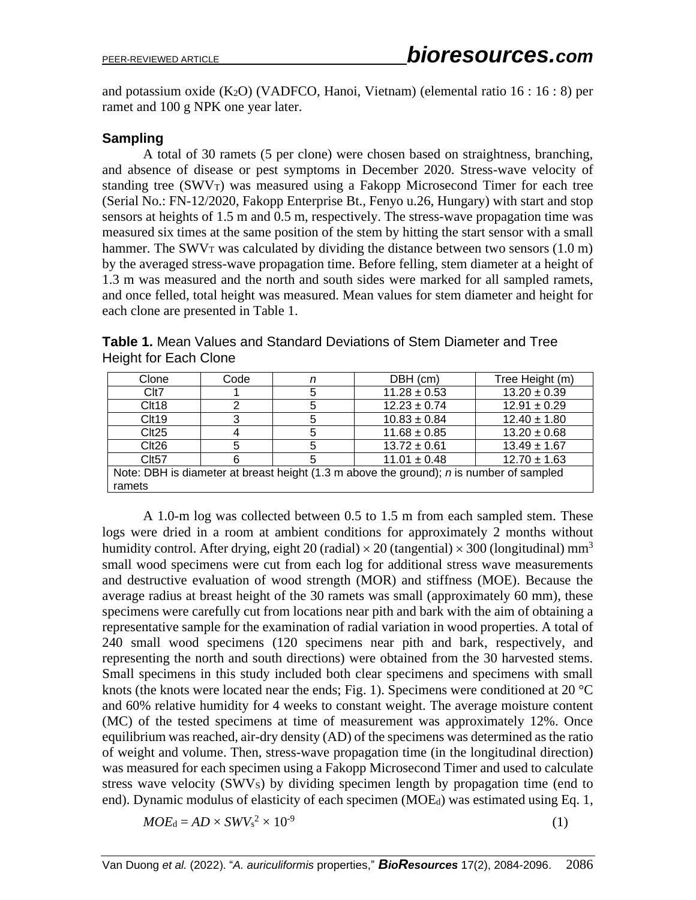and potassium oxide (K2O) (VADFCO, Hanoi, Vietnam) (elemental ratio 16 : 16 : 8) per ramet and 100 g NPK one year later.

### **Sampling**

A total of 30 ramets (5 per clone) were chosen based on straightness, branching, and absence of disease or pest symptoms in December 2020. Stress-wave velocity of standing tree (SWVT) was measured using a Fakopp Microsecond Timer for each tree (Serial No.: FN-12/2020, Fakopp Enterprise Bt., Fenyo u.26, Hungary) with start and stop sensors at heights of 1.5 m and 0.5 m, respectively. The stress-wave propagation time was measured six times at the same position of the stem by hitting the start sensor with a small hammer. The SWV $_T$  was calculated by dividing the distance between two sensors (1.0 m) by the averaged stress-wave propagation time. Before felling, stem diameter at a height of 1.3 m was measured and the north and south sides were marked for all sampled ramets, and once felled, total height was measured. Mean values for stem diameter and height for each clone are presented in Table 1.

| Table 1. Mean Values and Standard Deviations of Stem Diameter and Tree |  |  |
|------------------------------------------------------------------------|--|--|
| Height for Each Clone                                                  |  |  |

| Clone                                                                                                    | Code | DBH (cm)<br>n |                  | Tree Height (m)  |  |  |  |
|----------------------------------------------------------------------------------------------------------|------|---------------|------------------|------------------|--|--|--|
| Clt7                                                                                                     |      | 5             | $11.28 \pm 0.53$ | $13.20 \pm 0.39$ |  |  |  |
| Clt18                                                                                                    | 2    | 5             | $12.23 \pm 0.74$ | $12.91 \pm 0.29$ |  |  |  |
| Clt19                                                                                                    | 3    | 5             | $10.83 \pm 0.84$ | $12.40 \pm 1.80$ |  |  |  |
| Clt25                                                                                                    | 4    | 5             | $11.68 \pm 0.85$ | $13.20 \pm 0.68$ |  |  |  |
| Clt26                                                                                                    | 5    | 5             | $13.72 \pm 0.61$ | $13.49 \pm 1.67$ |  |  |  |
| Clt57                                                                                                    | 6    | 5             | $11.01 \pm 0.48$ | $12.70 \pm 1.63$ |  |  |  |
| Note: DBH is diameter at breast height $(1.3 \text{ m}$ above the ground); <i>n</i> is number of sampled |      |               |                  |                  |  |  |  |
| ramets                                                                                                   |      |               |                  |                  |  |  |  |

A 1.0-m log was collected between 0.5 to 1.5 m from each sampled stem. These logs were dried in a room at ambient conditions for approximately 2 months without humidity control. After drying, eight 20 (radial)  $\times$  20 (tangential)  $\times$  300 (longitudinal) mm<sup>3</sup> small wood specimens were cut from each log for additional stress wave measurements and destructive evaluation of wood strength (MOR) and stiffness (MOE). Because the average radius at breast height of the 30 ramets was small (approximately 60 mm), these specimens were carefully cut from locations near pith and bark with the aim of obtaining a representative sample for the examination of radial variation in wood properties. A total of 240 small wood specimens (120 specimens near pith and bark, respectively, and representing the north and south directions) were obtained from the 30 harvested stems. Small specimens in this study included both clear specimens and specimens with small knots (the knots were located near the ends; Fig. 1). Specimens were conditioned at 20 °C and 60% relative humidity for 4 weeks to constant weight. The average moisture content (MC) of the tested specimens at time of measurement was approximately 12%. Once equilibrium was reached, air-dry density (AD) of the specimens was determined as the ratio of weight and volume. Then, stress-wave propagation time (in the longitudinal direction) was measured for each specimen using a Fakopp Microsecond Timer and used to calculate stress wave velocity (SWVS) by dividing specimen length by propagation time (end to end). Dynamic modulus of elasticity of each specimen (MOE<sub>d</sub>) was estimated using Eq. 1,

$$
MOE_{\rm d}=AD\times SWV_{\rm s}{}^{2}\times 10^{-9}
$$

(1)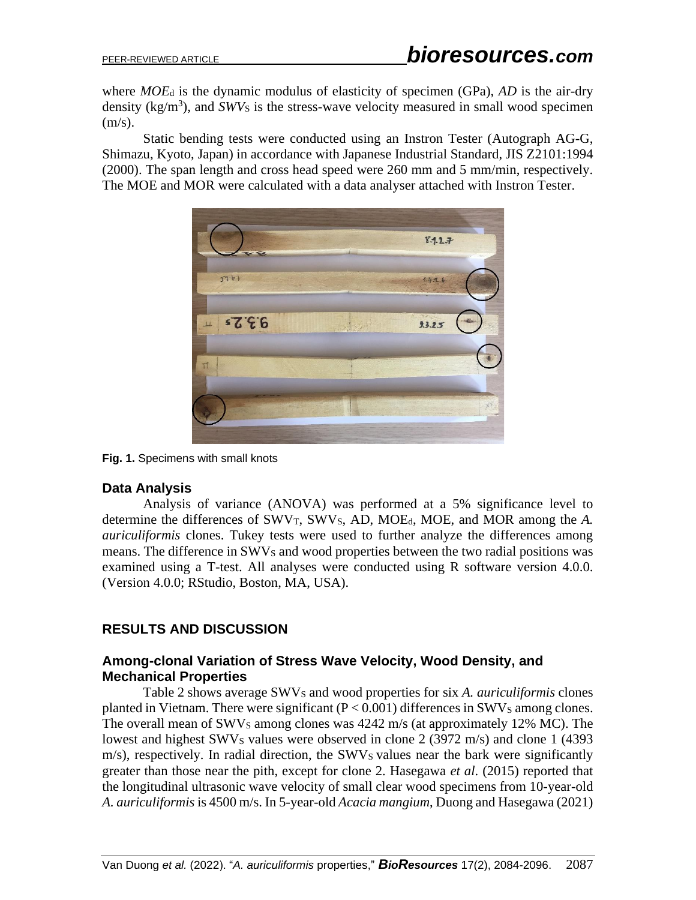where *MOE*<sup>d</sup> is the dynamic modulus of elasticity of specimen (GPa), *AD* is the air-dry density  $(kg/m<sup>3</sup>)$ , and *SWV*s is the stress-wave velocity measured in small wood specimen  $(m/s)$ .

Static bending tests were conducted using an Instron Tester (Autograph AG-G, Shimazu, Kyoto, Japan) in accordance with Japanese Industrial Standard, JIS Z2101:1994 (2000). The span length and cross head speed were 260 mm and 5 mm/min, respectively. The MOE and MOR were calculated with a data analyser attached with Instron Tester.



**Fig. 1.** Specimens with small knots

### **Data Analysis**

Analysis of variance (ANOVA) was performed at a 5% significance level to determine the differences of SWV<sub>T</sub>, SWV<sub>S</sub>, AD, MOE<sub>d</sub>, MOE, and MOR among the *A*. *auriculiformis* clones. Tukey tests were used to further analyze the differences among means. The difference in SWVs and wood properties between the two radial positions was examined using a T-test. All analyses were conducted using R software version 4.0.0. (Version 4.0.0; RStudio, Boston, MA, USA).

### **RESULTS AND DISCUSSION**

### **Among-clonal Variation of Stress Wave Velocity, Wood Density, and Mechanical Properties**

Table 2 shows average SWV<sup>S</sup> and wood properties for six *A. auriculiformis* clones planted in Vietnam. There were significant  $(P < 0.001)$  differences in SWVs among clones. The overall mean of SWVs among clones was 4242 m/s (at approximately 12% MC). The lowest and highest SWVs values were observed in clone 2 (3972 m/s) and clone 1 (4393  $m/s$ ), respectively. In radial direction, the SWV<sub>S</sub> values near the bark were significantly greater than those near the pith, except for clone 2. Hasegawa *et al*. (2015) reported that the longitudinal ultrasonic wave velocity of small clear wood specimens from 10-year-old *A. auriculiformis* is 4500 m/s. In 5-year-old *Acacia mangium*, Duong and Hasegawa (2021)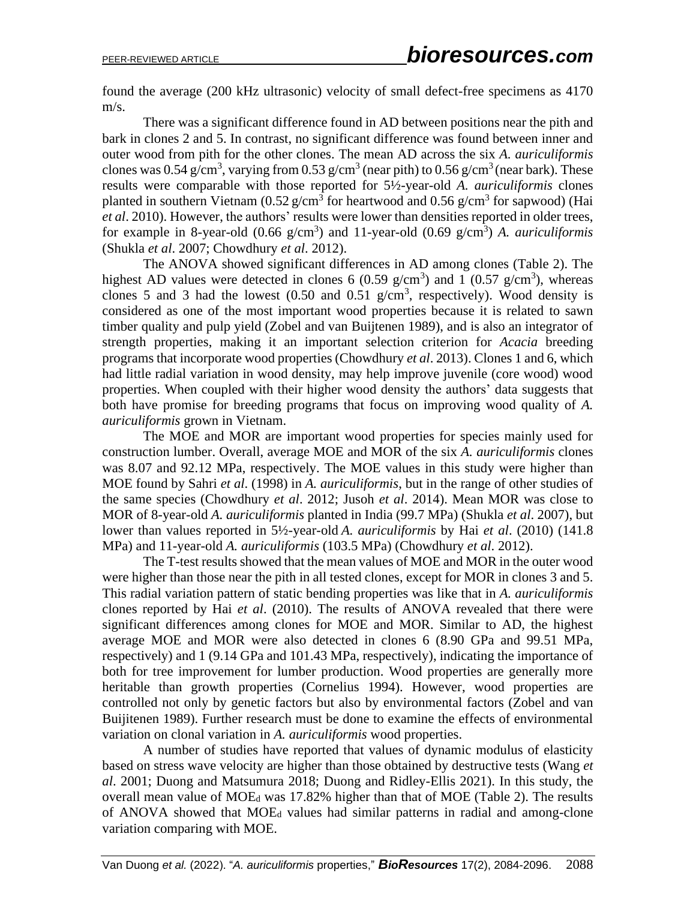found the average (200 kHz ultrasonic) velocity of small defect-free specimens as 4170 m/s.

There was a significant difference found in AD between positions near the pith and bark in clones 2 and 5. In contrast, no significant difference was found between inner and outer wood from pith for the other clones. The mean AD across the six *A. auriculiformis* clones was 0.54 g/cm<sup>3</sup>, varying from 0.53 g/cm<sup>3</sup> (near pith) to 0.56 g/cm<sup>3</sup> (near bark). These results were comparable with those reported for 5½-year-old *A. auriculiformis* clones planted in southern Vietnam (0.52 g/cm<sup>3</sup> for heartwood and 0.56 g/cm<sup>3</sup> for sapwood) (Hai *et al*. 2010). However, the authors' results were lower than densities reported in older trees, for example in 8-year-old  $(0.66 \text{ g/cm}^3)$  and 11-year-old  $(0.69 \text{ g/cm}^3)$  *A. auriculiformis* (Shukla *et al*. 2007; Chowdhury *et al*. 2012).

The ANOVA showed significant differences in AD among clones (Table 2). The highest AD values were detected in clones 6 (0.59 g/cm<sup>3</sup>) and 1 (0.57 g/cm<sup>3</sup>), whereas clones 5 and 3 had the lowest  $(0.50 \text{ and } 0.51 \text{ g/cm}^3$ , respectively). Wood density is considered as one of the most important wood properties because it is related to sawn timber quality and pulp yield (Zobel and van Buijtenen 1989), and is also an integrator of strength properties, making it an important selection criterion for *Acacia* breeding programs that incorporate wood properties (Chowdhury *et al*. 2013). Clones 1 and 6, which had little radial variation in wood density, may help improve juvenile (core wood) wood properties. When coupled with their higher wood density the authors' data suggests that both have promise for breeding programs that focus on improving wood quality of *A. auriculiformis* grown in Vietnam.

The MOE and MOR are important wood properties for species mainly used for construction lumber. Overall, average MOE and MOR of the six *A. auriculiformis* clones was 8.07 and 92.12 MPa, respectively. The MOE values in this study were higher than MOE found by Sahri *et al*. (1998) in *A. auriculiformis*, but in the range of other studies of the same species (Chowdhury *et al*. 2012; Jusoh *et al*. 2014). Mean MOR was close to MOR of 8-year-old *A. auriculiformis* planted in India (99.7 MPa) (Shukla *et al*. 2007), but lower than values reported in 5½-year-old *A. auriculiformis* by Hai *et al*. (2010) (141.8 MPa) and 11-year-old *A. auriculiformis* (103.5 MPa) (Chowdhury *et al*. 2012).

The T-test results showed that the mean values of MOE and MOR in the outer wood were higher than those near the pith in all tested clones, except for MOR in clones 3 and 5. This radial variation pattern of static bending properties was like that in *A. auriculiformis* clones reported by Hai *et al*. (2010). The results of ANOVA revealed that there were significant differences among clones for MOE and MOR. Similar to AD, the highest average MOE and MOR were also detected in clones 6 (8.90 GPa and 99.51 MPa, respectively) and 1 (9.14 GPa and 101.43 MPa, respectively), indicating the importance of both for tree improvement for lumber production. Wood properties are generally more heritable than growth properties (Cornelius 1994). However, wood properties are controlled not only by genetic factors but also by environmental factors (Zobel and van Buijitenen 1989). Further research must be done to examine the effects of environmental variation on clonal variation in *A. auriculiformis* wood properties.

A number of studies have reported that values of dynamic modulus of elasticity based on stress wave velocity are higher than those obtained by destructive tests (Wang *et al*. 2001; Duong and Matsumura 2018; Duong and Ridley-Ellis 2021). In this study, the overall mean value of MOE<sup>d</sup> was 17.82% higher than that of MOE (Table 2). The results of ANOVA showed that MOE<sup>d</sup> values had similar patterns in radial and among-clone variation comparing with MOE.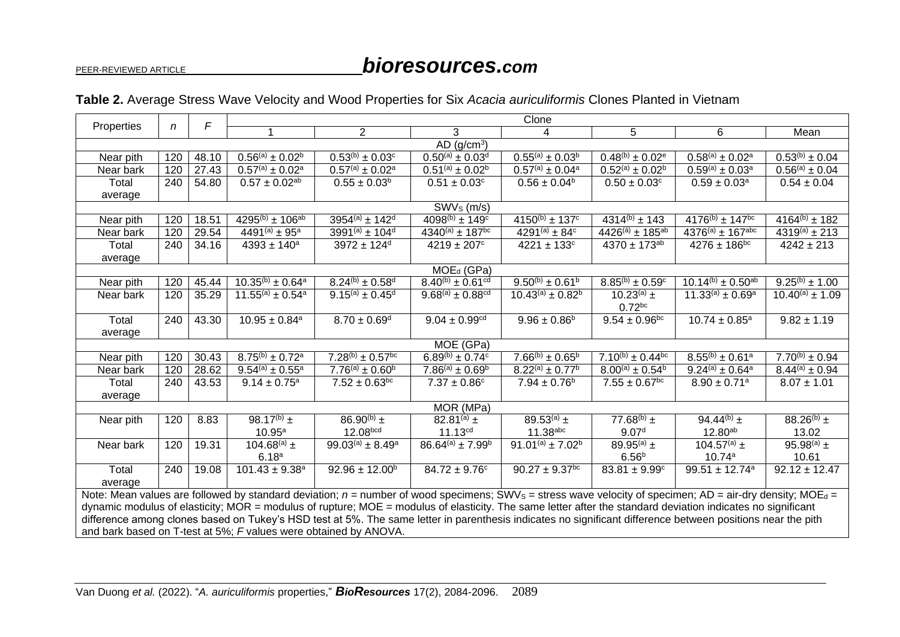# PEER-REVIEWED ARTICLE *bioresources.com*

| F                                                                                                                                                                       |                                                                                                                                                             |       |                                |                              |                               | Clone                                                  |                               |                                |                            |
|-------------------------------------------------------------------------------------------------------------------------------------------------------------------------|-------------------------------------------------------------------------------------------------------------------------------------------------------------|-------|--------------------------------|------------------------------|-------------------------------|--------------------------------------------------------|-------------------------------|--------------------------------|----------------------------|
| Properties                                                                                                                                                              | n                                                                                                                                                           |       | 1                              | $\overline{2}$               | 3                             | 4                                                      | 5                             | 6                              | Mean                       |
| AD (g/cm <sup>3</sup> )                                                                                                                                                 |                                                                                                                                                             |       |                                |                              |                               |                                                        |                               |                                |                            |
| Near pith                                                                                                                                                               | 120                                                                                                                                                         | 48.10 | $0.56^{(a)} \pm 0.02^{b}$      | $0.53^{(b)} \pm 0.03^{c}$    | $0.50^{(a)} \pm 0.03^d$       | $0.55^{(a)} \pm 0.03^b$                                | $0.48^{(b)} \pm 0.02^e$       | $0.58^{(a)} \pm 0.02^a$        | $0.53^{(b)} \pm 0.04$      |
| Near bark                                                                                                                                                               | 120                                                                                                                                                         | 27.43 | $0.57^{(a)} \pm 0.02^a$        | $0.57^{(a)} \pm 0.02^a$      | $0.51^{(a)} \pm 0.02^{b}$     | $0.57^{(a)} \pm 0.04^a$                                | $0.52^{(a)} \pm 0.02^{b}$     | $0.59^{(a)} \pm 0.03^a$        | $0.56^{(a)} \pm 0.04$      |
| Total                                                                                                                                                                   | 240                                                                                                                                                         | 54.80 | $0.57 \pm 0.02^{ab}$           | $0.55 \pm 0.03^b$            | $0.51 \pm 0.03$ <sup>c</sup>  | $0.56 \pm 0.04^b$                                      | $0.50 \pm 0.03$ <sup>c</sup>  | $0.59 \pm 0.03^a$              | $0.54 \pm 0.04$            |
| average                                                                                                                                                                 |                                                                                                                                                             |       |                                |                              |                               |                                                        |                               |                                |                            |
| SWV <sub>s</sub> (m/s)                                                                                                                                                  |                                                                                                                                                             |       |                                |                              |                               |                                                        |                               |                                |                            |
| Near pith                                                                                                                                                               | 120                                                                                                                                                         | 18.51 | $4295^{(b)} \pm 106^{ab}$      | $3954^{(a)} \pm 142^d$       | $4098^{(b)} \pm 149^c$        | $4150^{(b)} \pm 137^c$                                 | $4314^{(b)} \pm 143$          | $4176^{(b)} \pm 147^{bc}$      | $4164^{(b)} \pm 182$       |
| Near bark                                                                                                                                                               | 120                                                                                                                                                         | 29.54 | $4491^{(a)} \pm 95^a$          | $3991^{(a)} \pm 104^d$       | $4340^{(a)} \pm 187^{bc}$     | $4291^{(a)} \pm 84^c$                                  | $4426^{(a)} \pm 185^{ab}$     | $4376^{(a)} \pm 167^{abc}$     | $4319^{(a)} \pm 213$       |
| Total                                                                                                                                                                   | 240                                                                                                                                                         | 34.16 | $4393 \pm 140^a$               | $3972 \pm 124$ <sup>d</sup>  | $4219 \pm 207$ <sup>c</sup>   | $4221 \pm 133$ °                                       | $4370 \pm 173^{ab}$           | $4276 \pm 186$ <sup>bc</sup>   | $4242 \pm 213$             |
| average                                                                                                                                                                 |                                                                                                                                                             |       |                                |                              |                               |                                                        |                               |                                |                            |
|                                                                                                                                                                         |                                                                                                                                                             |       |                                |                              | MOE <sub>d</sub> (GPa)        |                                                        |                               |                                |                            |
| Near pith                                                                                                                                                               | 120                                                                                                                                                         | 45.44 | $10.35^{(b)} \pm 0.64^a$       | $8.24^{(b)} \pm 0.58^{d}$    | $8.40^{(b)} \pm 0.61^{cd}$    | $9.50^{(b)} \pm 0.61^{b}$                              | $8.85^{(b)} \pm 0.59^c$       | $10.14^{(b)} \pm 0.50^{ab}$    | $9.25^{(b)} \pm 1.00$      |
| Near bark                                                                                                                                                               | 120                                                                                                                                                         | 35.29 | $11.55^{(a)} \pm 0.54^a$       | $9.15^{(a)} \pm 0.45^{d}$    | $9.68^{(a)} \pm 0.88^{cd}$    | $\overline{10}$ .43 <sup>(a)</sup> ± 0.82 <sup>b</sup> | 10.23(a) $\pm$                | $11.33^{(a)} \pm 0.69^a$       | $10.40^{(a)} \pm 1.09$     |
|                                                                                                                                                                         |                                                                                                                                                             |       |                                |                              |                               |                                                        | $0.72$ bc                     |                                |                            |
| Total                                                                                                                                                                   | 240                                                                                                                                                         | 43.30 | $10.95 \pm 0.84$ <sup>a</sup>  | $8.70 \pm 0.69$ <sup>d</sup> | $9.04 \pm 0.99$ <sup>cd</sup> | $9.96 \pm 0.86^{\circ}$                                | $9.54 \pm 0.96^{bc}$          | $10.74 \pm 0.85^a$             | $9.82 \pm 1.19$            |
| average                                                                                                                                                                 |                                                                                                                                                             |       |                                |                              |                               |                                                        |                               |                                |                            |
|                                                                                                                                                                         |                                                                                                                                                             |       |                                |                              | MOE (GPa)                     |                                                        |                               |                                |                            |
| Near pith                                                                                                                                                               | 120                                                                                                                                                         | 30.43 | $8.75^{(b)} \pm 0.72^a$        | $7.28^{(b)} \pm 0.57^{bc}$   | $6.89^{(b)} \pm 0.74^c$       | $7.66^{(b)} \pm 0.65^{b}$                              | $7.10^{(b)} \pm 0.44^{bc}$    | $8.55^{(b)} \pm 0.61^a$        | $7.70^{(b)} \pm 0.94$      |
| Near bark                                                                                                                                                               | 120                                                                                                                                                         | 28.62 | $9.54^{(a)} \pm 0.55^a$        | $7.76^{(a)} \pm 0.60^{b}$    | $7.86^{(a)} \pm 0.69^{b}$     | $8.22^{(a)} \pm 0.77^b$                                | $8.00^{(a)} \pm 0.54^{b}$     | $9.24^{(a)} \pm 0.64^a$        | $8.44^{(a)} \pm 0.94$      |
| Total                                                                                                                                                                   | 240                                                                                                                                                         | 43.53 | $9.14 \pm 0.75^a$              | $7.52 \pm 0.63^{bc}$         | $7.37 \pm 0.86$ <sup>c</sup>  | $7.94 \pm 0.76^{\rm b}$                                | $7.55 \pm 0.67$ <sup>bc</sup> | $8.90 \pm 0.71$ <sup>a</sup>   | $8.07 \pm 1.01$            |
| average                                                                                                                                                                 |                                                                                                                                                             |       |                                |                              |                               |                                                        |                               |                                |                            |
|                                                                                                                                                                         |                                                                                                                                                             |       |                                |                              | MOR (MPa)                     |                                                        |                               |                                |                            |
| Near pith                                                                                                                                                               | 120                                                                                                                                                         | 8.83  | 98.17 <sup>(b)</sup> $\pm$     | 86.90 <sup>(b)</sup> $\pm$   | 82.81 <sup>(a)</sup> $\pm$    | 89.53(a) $\pm$                                         | 77.68 <sup>(b)</sup> $\pm$    | 94.44 <sup>(b)</sup> $\pm$     | $88.26^{(b)}$ ±            |
|                                                                                                                                                                         |                                                                                                                                                             |       | $10.95^{\text{a}}$             | 12.08 <sub>bcd</sub>         | $11.13^{cd}$                  | $11.38$ abc                                            | 9.07 <sup>d</sup>             | $12.80^{ab}$                   | 13.02                      |
| Near bark                                                                                                                                                               | 120                                                                                                                                                         | 19.31 | 104.68 $^{(a)}$ ±              | $99.03^{(a)} \pm 8.49^a$     | $86.64^{(a)} \pm 7.99^b$      | $91.01^{(a)} \pm 7.02^{b}$                             | 89.95 <sup>(a)</sup> $\pm$    | 104.57 $^{(a)}$ ±              | 95.98 <sup>(a)</sup> $\pm$ |
|                                                                                                                                                                         |                                                                                                                                                             |       | 6.18 <sup>a</sup>              |                              |                               |                                                        | $6.56^{b}$                    | 10.74a                         | 10.61                      |
| Total                                                                                                                                                                   | 240                                                                                                                                                         | 19.08 | $101.43 \pm 9.38$ <sup>a</sup> | $92.96 \pm 12.00^b$          | $84.72 \pm 9.76$ <sup>c</sup> | $90.27 \pm 9.37$ <sup>bc</sup>                         | $83.81 \pm 9.99^{\circ}$      | $99.51 \pm 12.74$ <sup>a</sup> | $92.12 \pm 12.47$          |
| average                                                                                                                                                                 |                                                                                                                                                             |       |                                |                              |                               |                                                        |                               |                                |                            |
| Note: Mean values are followed by standard deviation; $n =$ number of wood specimens; SWVs = stress wave velocity of specimen; AD = air-dry density; MOE <sub>d</sub> = |                                                                                                                                                             |       |                                |                              |                               |                                                        |                               |                                |                            |
| dynamic modulus of elasticity; MOR = modulus of rupture; MOE = modulus of elasticity. The same letter after the standard deviation indicates no significant             |                                                                                                                                                             |       |                                |                              |                               |                                                        |                               |                                |                            |
|                                                                                                                                                                         | difference among clones based on Tukey's HSD test at 5%. The same letter in parenthesis indicates no significant difference between positions near the pith |       |                                |                              |                               |                                                        |                               |                                |                            |
| and bark based on T-test at 5%; F values were obtained by ANOVA.                                                                                                        |                                                                                                                                                             |       |                                |                              |                               |                                                        |                               |                                |                            |

### **Table 2.** Average Stress Wave Velocity and Wood Properties for Six *Acacia auriculiformis* Clones Planted in Vietnam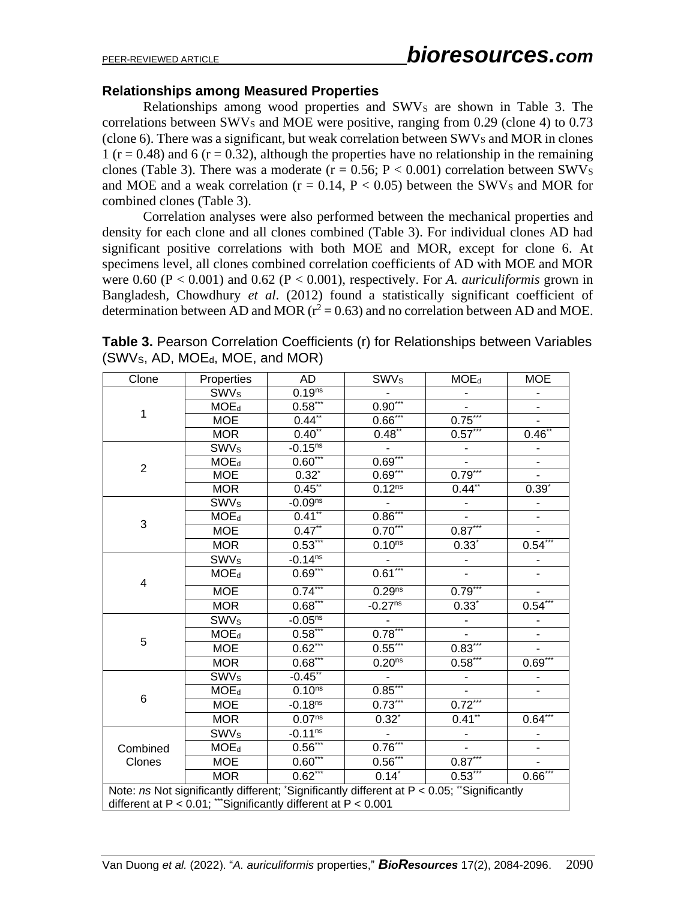### **Relationships among Measured Properties**

Relationships among wood properties and SWV<sub>S</sub> are shown in Table 3. The correlations between SWV<sub>S</sub> and MOE were positive, ranging from  $0.29$  (clone 4) to  $0.73$ (clone  $6$ ). There was a significant, but weak correlation between SWVs and MOR in clones 1 ( $r = 0.48$ ) and 6 ( $r = 0.32$ ), although the properties have no relationship in the remaining clones (Table 3). There was a moderate ( $r = 0.56$ ;  $P < 0.001$ ) correlation between SWV<sub>S</sub> and MOE and a weak correlation ( $r = 0.14$ ,  $P < 0.05$ ) between the SWVs and MOR for combined clones (Table 3).

Correlation analyses were also performed between the mechanical properties and density for each clone and all clones combined (Table 3). For individual clones AD had significant positive correlations with both MOE and MOR, except for clone 6. At specimens level, all clones combined correlation coefficients of AD with MOE and MOR were 0.60 (P < 0.001) and 0.62 (P < 0.001), respectively. For *A. auriculiformis* grown in Bangladesh, Chowdhury *et al*. (2012) found a statistically significant coefficient of determination between AD and MOR ( $r^2 = 0.63$ ) and no correlation between AD and MOE.

| Clone                                                                                      | Properties                                                    | <b>AD</b>               | <b>SWVs</b>         | $MOE_d$                  | <b>MOE</b>               |  |
|--------------------------------------------------------------------------------------------|---------------------------------------------------------------|-------------------------|---------------------|--------------------------|--------------------------|--|
| 1                                                                                          | <b>SWV<sub>s</sub></b>                                        | 0.19 <sup>ns</sup>      |                     |                          |                          |  |
|                                                                                            | $MOE_d$                                                       | $0.58***$               | $0.90***$           |                          |                          |  |
|                                                                                            | <b>MOE</b>                                                    | $0.44$ **               | $0.66***$           | $0.75***$                |                          |  |
|                                                                                            | <b>MOR</b>                                                    | $0.40^{**}$             | $0.48^{**}$         | $0.57***$                | $0.46^{**}$              |  |
|                                                                                            | <b>SWVs</b>                                                   | $-0.15^{ns}$            |                     |                          |                          |  |
| $\overline{2}$                                                                             | $MOE_d$                                                       | $0.60***$               | $0.69***$           |                          |                          |  |
|                                                                                            | <b>MOE</b>                                                    | $0.32^{*}$              | $0.69***$           | $0.79***$                |                          |  |
|                                                                                            | <b>MOR</b>                                                    | $0.45$ **               | $0.12^{ns}$         | $0.44$ <sup>**</sup>     | $0.39*$                  |  |
|                                                                                            | <b>SWVs</b>                                                   | $-0.09ns$               |                     | $\overline{\phantom{a}}$ |                          |  |
|                                                                                            | $MOE_d$                                                       | $0.41$ **               | $0.86***$           |                          |                          |  |
| 3                                                                                          | <b>MOE</b>                                                    | $0.47$ **               | $0.70***$           | $0.87***$                |                          |  |
|                                                                                            | <b>MOR</b>                                                    | $0.53***$               | $0.10^{ns}$         | $0.33*$                  | $0.54***$                |  |
|                                                                                            | <b>SWVs</b>                                                   | $-0.14^{ns}$            |                     |                          |                          |  |
| $\overline{\mathbf{4}}$                                                                    | $MOE_d$                                                       | $0.69***$               | $0.61***$           |                          |                          |  |
|                                                                                            | <b>MOE</b>                                                    | $0.74***$               | 0.29 <sub>ns</sub>  | $0.79***$                |                          |  |
|                                                                                            | <b>MOR</b>                                                    | $0.\overline{68}^{***}$ | $-0.27ns$           | $0.33^{*}$               | $0.54***$                |  |
|                                                                                            | <b>SWVs</b>                                                   | $-0.05^{ns}$            |                     |                          |                          |  |
|                                                                                            | $MOE_d$                                                       | $0.58***$               | $0.78***$           |                          |                          |  |
| 5                                                                                          | <b>MOE</b>                                                    | $0.62***$               | $0.55***$           | $0.83***$                |                          |  |
|                                                                                            | <b>MOR</b>                                                    | $0.68***$               | 0.20 <sup>ns</sup>  | $0.58***$                | $\underline{0.69}^{***}$ |  |
|                                                                                            | <b>SWVs</b>                                                   | $-0.45$ **              |                     |                          |                          |  |
|                                                                                            | $MOE_d$                                                       | $0.10^{ns}$             | $0.85***$           |                          |                          |  |
| 6                                                                                          | <b>MOE</b>                                                    | $-0.18ns$               | $0.73***$           | $0.72***$                |                          |  |
|                                                                                            | <b>MOR</b>                                                    | 0.07 <sup>ns</sup>      | $0.32^{*}$          | $0.41$ **                | $0.64***$                |  |
|                                                                                            | <b>SWVs</b>                                                   | $-0.11^{ns}$            |                     |                          |                          |  |
| Combined                                                                                   | $MOE_d$                                                       | $0.56***$               | $0.76***$           |                          |                          |  |
| Clones                                                                                     | <b>MOE</b>                                                    | $0.60***$               | $0.56***$           | $0.87***$                | $\overline{\phantom{0}}$ |  |
|                                                                                            | <b>MOR</b>                                                    | $0.62***$               | $0.14$ <sup>*</sup> | $0.53***$                | $0.66***$                |  |
| Note: ns Not significantly different; 'Significantly different at P < 0.05; "Significantly |                                                               |                         |                     |                          |                          |  |
|                                                                                            | different at P < 0.01; ""Significantly different at P < 0.001 |                         |                     |                          |                          |  |

**Table 3.** Pearson Correlation Coefficients (r) for Relationships between Variables (SWV<sub>S</sub>, AD, MOE<sub>d</sub>, MOE, and MOR)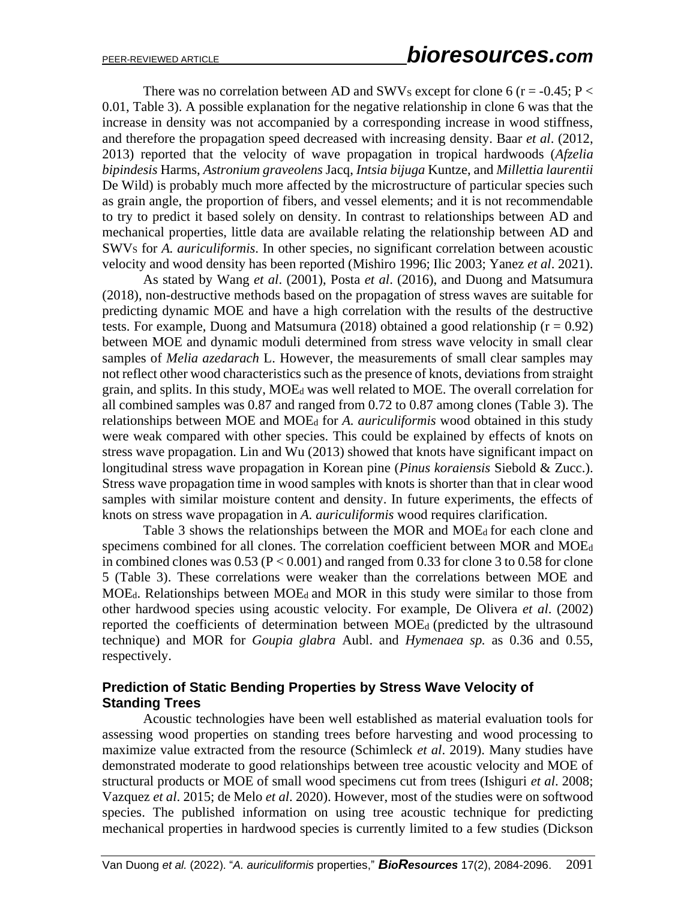There was no correlation between AD and SWVs except for clone 6 ( $r = -0.45$ ; P < 0.01, Table 3). A possible explanation for the negative relationship in clone 6 was that the increase in density was not accompanied by a corresponding increase in wood stiffness, and therefore the propagation speed decreased with increasing density. Baar *et al*. (2012, 2013) reported that the velocity of wave propagation in tropical hardwoods (*Afzelia bipindesis* Harms, *Astronium graveolens* Jacq, *Intsia bijuga* Kuntze, and *Millettia laurentii*  De Wild) is probably much more affected by the microstructure of particular species such as grain angle, the proportion of fibers, and vessel elements; and it is not recommendable to try to predict it based solely on density. In contrast to relationships between AD and mechanical properties, little data are available relating the relationship between AD and SWV<sup>S</sup> for *A. auriculiformis*. In other species, no significant correlation between acoustic velocity and wood density has been reported (Mishiro 1996; Ilic 2003; Yanez *et al*. 2021).

As stated by Wang *et al*. (2001), Posta *et al*. (2016), and Duong and Matsumura (2018), non-destructive methods based on the propagation of stress waves are suitable for predicting dynamic MOE and have a high correlation with the results of the destructive tests. For example, Duong and Matsumura (2018) obtained a good relationship ( $r = 0.92$ ) between MOE and dynamic moduli determined from stress wave velocity in small clear samples of *Melia azedarach* L. However, the measurements of small clear samples may not reflect other wood characteristics such as the presence of knots, deviations from straight grain, and splits. In this study, MOE<sup>d</sup> was well related to MOE. The overall correlation for all combined samples was 0.87 and ranged from 0.72 to 0.87 among clones (Table 3). The relationships between MOE and MOE<sup>d</sup> for *A. auriculiformis* wood obtained in this study were weak compared with other species. This could be explained by effects of knots on stress wave propagation. Lin and Wu (2013) showed that knots have significant impact on longitudinal stress wave propagation in Korean pine (*Pinus koraiensis* [Siebold](https://en.wikipedia.org/wiki/Philipp_Franz_von_Siebold) & [Zucc.\)](https://en.wikipedia.org/wiki/Joseph_Gerhard_Zuccarini). Stress wave propagation time in wood samples with knots is shorter than that in clear wood samples with similar moisture content and density. In future experiments, the effects of knots on stress wave propagation in *A. auriculiformis* wood requires clarification.

Table 3 shows the relationships between the MOR and MOE<sub>d</sub> for each clone and specimens combined for all clones. The correlation coefficient between MOR and MOE<sup>d</sup> in combined clones was  $0.53$  (P < 0.001) and ranged from 0.33 for clone 3 to 0.58 for clone 5 (Table 3). These correlations were weaker than the correlations between MOE and MOEd. Relationships between MOEd and MOR in this study were similar to those from other hardwood species using acoustic velocity. For example, De Olivera *et al*. (2002) reported the coefficients of determination between MOEd (predicted by the ultrasound technique) and MOR for *Goupia glabra* Aubl. and *Hymenaea sp.* as 0.36 and 0.55, respectively.

### **Prediction of Static Bending Properties by Stress Wave Velocity of Standing Trees**

Acoustic technologies have been well established as material evaluation tools for assessing wood properties on standing trees before harvesting and wood processing to maximize value extracted from the resource (Schimleck *et al*. 2019). Many studies have demonstrated moderate to good relationships between tree acoustic velocity and MOE of structural products or MOE of small wood specimens cut from trees (Ishiguri *et al*. 2008; Vazquez *et al*. 2015; de Melo *et al*. 2020). However, most of the studies were on softwood species. The published information on using tree acoustic technique for predicting mechanical properties in hardwood species is currently limited to a few studies (Dickson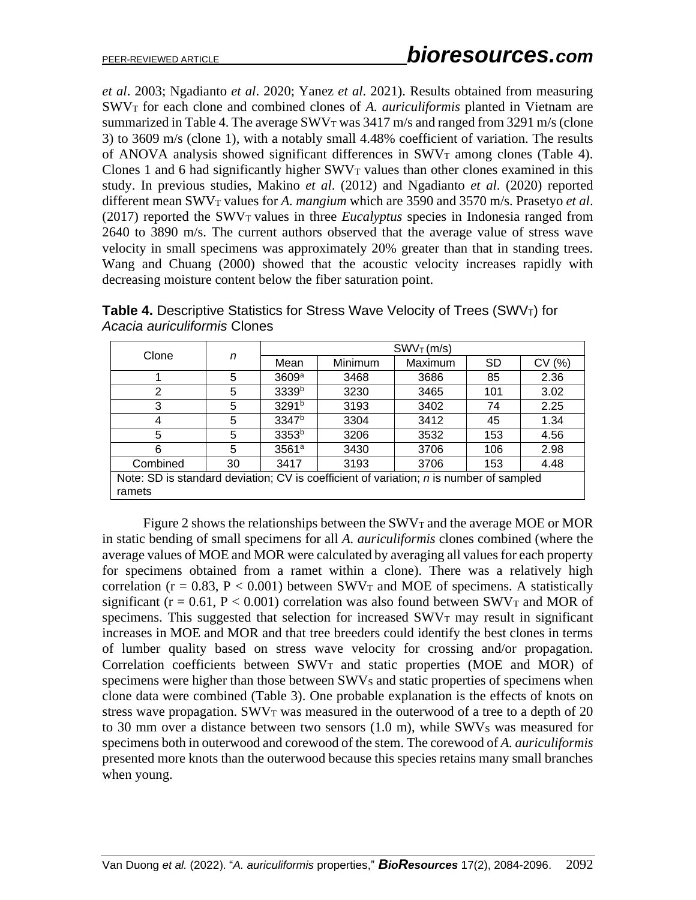*et al*. 2003; Ngadianto *et al*. 2020; Yanez *et al*. 2021). Results obtained from measuring SWV<sup>T</sup> for each clone and combined clones of *A. auriculiformis* planted in Vietnam are summarized in Table 4. The average  $SWV<sub>T</sub>$  was 3417 m/s and ranged from 3291 m/s (clone 3) to 3609 m/s (clone 1), with a notably small 4.48% coefficient of variation. The results of ANOVA analysis showed significant differences in  $SWV_T$  among clones (Table 4). Clones 1 and 6 had significantly higher  $SWV<sub>T</sub>$  values than other clones examined in this study. In previous studies, Makino *et al*. (2012) and Ngadianto *et al*. (2020) reported different mean SWV<sub>T</sub> values for *A. mangium* which are 3590 and 3570 m/s. Prasetyo *et al.* (2017) reported the  $SWV<sub>T</sub>$  values in three *Eucalyptus* species in Indonesia ranged from 2640 to 3890 m/s. The current authors observed that the average value of stress wave velocity in small specimens was approximately 20% greater than that in standing trees. Wang and Chuang (2000) showed that the acoustic velocity increases rapidly with decreasing moisture content below the fiber saturation point.

|       | Acacia auriculiformis Clones |         |         |                        |          |  |
|-------|------------------------------|---------|---------|------------------------|----------|--|
|       |                              |         |         | SWV <sub>T</sub> (m/s) |          |  |
| Clone | Mean                         | Minimum | Maximum | on                     | CVI (96) |  |

**Table 4.** Descriptive Statistics for Stress Wave Velocity of Trees (SWVT) for

|                                                                                                  | n  | $SWVT$ (m/s)      |         |         |           |       |  |  |
|--------------------------------------------------------------------------------------------------|----|-------------------|---------|---------|-----------|-------|--|--|
| Clone                                                                                            |    | Mean              | Minimum | Maximum | <b>SD</b> | CV(%) |  |  |
|                                                                                                  | 5  | 3609a             | 3468    | 3686    | 85        | 2.36  |  |  |
| 2                                                                                                | 5  | 3339 <sup>b</sup> | 3230    | 3465    | 101       | 3.02  |  |  |
| 3                                                                                                | 5  | 3291 <sup>b</sup> | 3193    | 3402    | 74        | 2.25  |  |  |
| 4                                                                                                | 5  | 3347 <sup>b</sup> | 3304    | 3412    | 45        | 1.34  |  |  |
| 5                                                                                                | 5  | 3353 <sup>b</sup> | 3206    | 3532    | 153       | 4.56  |  |  |
| 6                                                                                                | 5  | 3561 <sup>a</sup> | 3430    | 3706    | 106       | 2.98  |  |  |
| Combined                                                                                         | 30 | 3417              | 3193    | 3706    | 153       | 4.48  |  |  |
| Note: SD is standard deviation; CV is coefficient of variation; n is number of sampled<br>ramets |    |                   |         |         |           |       |  |  |

Figure 2 shows the relationships between the  $SWV_T$  and the average MOE or MOR in static bending of small specimens for all *A. auriculiformis* clones combined (where the average values of MOE and MOR were calculated by averaging all values for each property for specimens obtained from a ramet within a clone). There was a relatively high correlation ( $r = 0.83$ ,  $P < 0.001$ ) between SWV<sub>T</sub> and MOE of specimens. A statistically significant ( $r = 0.61$ ,  $P < 0.001$ ) correlation was also found between SWV<sub>T</sub> and MOR of specimens. This suggested that selection for increased  $SWV<sub>T</sub>$  may result in significant increases in MOE and MOR and that tree breeders could identify the best clones in terms of lumber quality based on stress wave velocity for crossing and/or propagation. Correlation coefficients between  $SWV_T$  and static properties (MOE and MOR) of specimens were higher than those between SWVs and static properties of specimens when clone data were combined (Table 3). One probable explanation is the effects of knots on stress wave propagation.  $SWV<sub>T</sub>$  was measured in the outerwood of a tree to a depth of 20 to 30 mm over a distance between two sensors  $(1.0 \text{ m})$ , while SWV<sub>S</sub> was measured for specimens both in outerwood and corewood of the stem. The corewood of *A. auriculiformis* presented more knots than the outerwood because this species retains many small branches when young.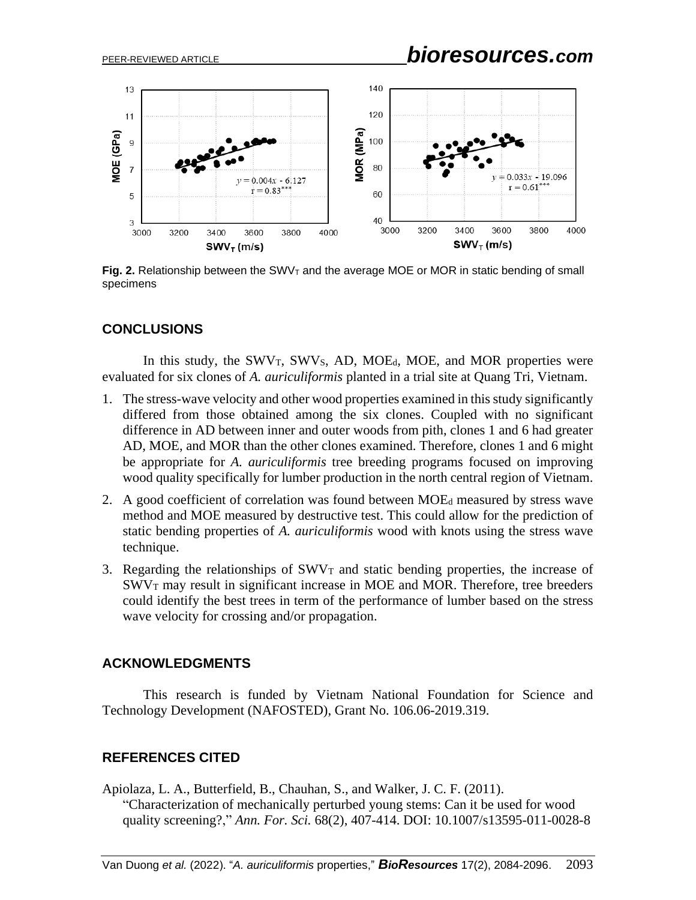

**Fig. 2.** Relationship between the SWV<sub>T</sub> and the average MOE or MOR in static bending of small specimens

### **CONCLUSIONS**

In this study, the  $SWV_T$ ,  $SWV_S$ , AD, MOE<sub>d</sub>, MOE, and MOR properties were evaluated for six clones of *A. auriculiformis* planted in a trial site at Quang Tri, Vietnam.

- 1. The stress-wave velocity and other wood properties examined in this study significantly differed from those obtained among the six clones. Coupled with no significant difference in AD between inner and outer woods from pith, clones 1 and 6 had greater AD, MOE, and MOR than the other clones examined. Therefore, clones 1 and 6 might be appropriate for *A. auriculiformis* tree breeding programs focused on improving wood quality specifically for lumber production in the north central region of Vietnam.
- 2. A good coefficient of correlation was found between MOE<sup>d</sup> measured by stress wave method and MOE measured by destructive test. This could allow for the prediction of static bending properties of *A. auriculiformis* wood with knots using the stress wave technique.
- 3. Regarding the relationships of  $SWV<sub>T</sub>$  and static bending properties, the increase of  $SWV<sub>T</sub>$  may result in significant increase in MOE and MOR. Therefore, tree breeders could identify the best trees in term of the performance of lumber based on the stress wave velocity for crossing and/or propagation.

### **ACKNOWLEDGMENTS**

This research is funded by Vietnam National Foundation for Science and Technology Development (NAFOSTED), Grant No. 106.06-2019.319.

### **REFERENCES CITED**

Apiolaza, L. A., Butterfield, B., Chauhan, S., and Walker, J. C. F. (2011). "Characterization of mechanically perturbed young stems: Can it be used for wood quality screening?," *Ann. For. Sci.* 68(2), 407-414. DOI: [10.1007/s13595-011-0028-8](http://dx.doi.org/10.1007/s13595-011-0028-8)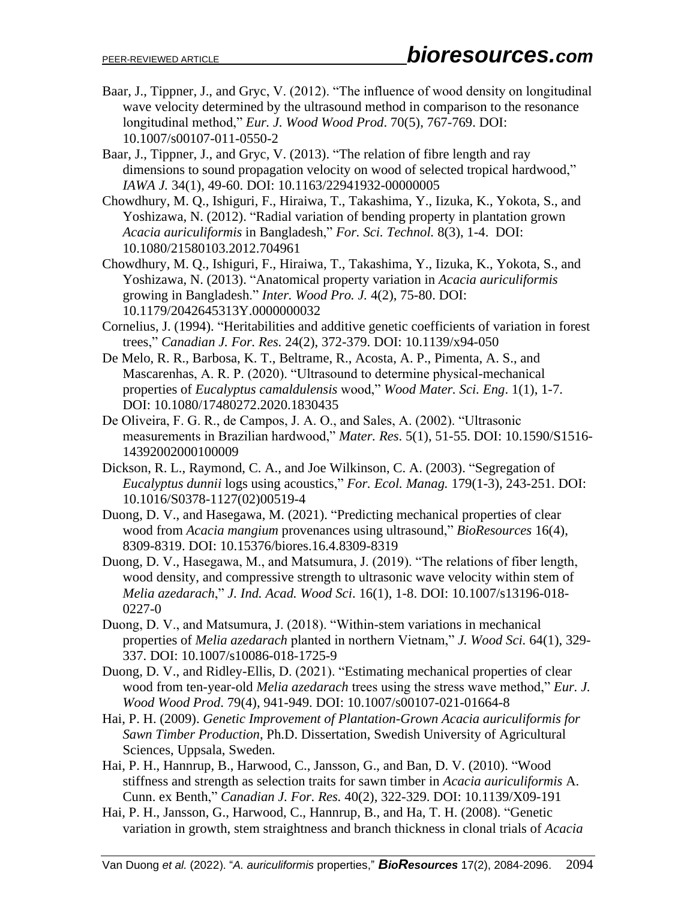- Baar, J., Tippner, J., and Gryc, V. (2012). "The influence of wood density on longitudinal wave velocity determined by the ultrasound method in comparison to the resonance longitudinal method," *Eur. J. Wood Wood Prod*. 70(5), 767-769. DOI: 10.1007/s00107-011-0550-2
- Baar, J., Tippner, J., and Gryc, V. (2013). "The relation of fibre length and ray dimensions to sound propagation velocity on wood of selected tropical hardwood," *IAWA J.* 34(1), 49-60. DOI: [10.1163/22941932-00000005](http://dx.doi.org/10.1163/22941932-00000005)
- Chowdhury, M. Q., Ishiguri, F., Hiraiwa, T., Takashima, Y., Iizuka, K., Yokota, S., and Yoshizawa, N. (2012). "Radial variation of bending property in plantation grown *Acacia auriculiformis* in Bangladesh," *For. Sci. Technol.* 8(3), 1-4. [DOI:](http://dx.doi.org/10.1080/21580103.2012.704961) [10.1080/21580103.2012.704961](http://dx.doi.org/10.1080/21580103.2012.704961)
- Chowdhury, M. Q., Ishiguri, F., Hiraiwa, T., Takashima, Y., Iizuka, K., Yokota, S., and Yoshizawa, N. (2013). "Anatomical property variation in *Acacia auriculiformis* growing in Bangladesh." *Inter. Wood Pro. J.* 4(2), 75-80. DOI: [10.1179/2042645313Y.0000000032](http://dx.doi.org/10.1179/2042645313Y.0000000032)
- Cornelius, J. (1994). "Heritabilities and additive genetic coefficients of variation in forest trees," *Canadian J. For. Res.* 24(2), 372-379. DOI: [10.1139/x94-050](https://doi.org/10.1139/x94-050)
- De Melo, R. R., Barbosa, K. T., Beltrame, R., Acosta, A. P., Pimenta, A. S., and Mascarenhas, A. R. P. (2020). "Ultrasound to determine physical-mechanical properties of *Eucalyptus camaldulensis* wood," *Wood Mater. Sci. Eng*. 1(1), 1-7. DOI: 10.1080/17480272.2020.1830435
- De Oliveira, F. G. R., de Campos, J. A. O., and Sales, A. (2002). "Ultrasonic measurements in Brazilian hardwood," *Mater. Res*. 5(1), 51-55. DOI: [10.1590/S1516-](http://dx.doi.org/10.1590/S1516-14392002000100009) [14392002000100009](http://dx.doi.org/10.1590/S1516-14392002000100009)
- Dickson, R. L., Raymond, C. A., and Joe Wilkinson, C. A. (2003). "Segregation of *Eucalyptus dunnii* logs using acoustics," *For. Ecol. Manag.* 179(1-3), 243-251. DOI: [10.1016/S0378-1127\(02\)00519-4](http://dx.doi.org/10.1016/S0378-1127(02)00519-4)
- Duong, D. V., and Hasegawa, M. (2021). "Predicting mechanical properties of clear wood from *Acacia mangium* provenances using ultrasound," *BioResources* 16(4), 8309-8319. DOI: [10.15376/biores.16.4.8309-8319](http://dx.doi.org/10.15376/biores.16.4.8309-8319)
- Duong, D. V., Hasegawa, M., and Matsumura, J. (2019). "The relations of fiber length, wood density, and compressive strength to ultrasonic wave velocity within stem of *Melia azedarach*," *J. Ind. Acad. Wood Sci*. 16(1), 1-8. DOI: 10.1007/s13196-018- 0227-0
- Duong, D. V., and Matsumura, J. (2018). "Within-stem variations in mechanical properties of *Melia azedarach* planted in northern Vietnam," *J. Wood Sci.* 64(1), 329- 337. DOI: 10.1007/s10086-018-1725-9
- Duong, D. V., and Ridley-Ellis, D. (2021). "Estimating mechanical properties of clear wood from ten-year-old *Melia azedarach* trees using the stress wave method," *Eur. J. Wood Wood Prod*. 79(4), 941-949. DOI: 10.1007/s00107-021-01664-8
- Hai, P. H. (2009). *Genetic Improvement of Plantation-Grown Acacia auriculiformis for Sawn Timber Production*, Ph.D. Dissertation, Swedish University of Agricultural Sciences, Uppsala, Sweden.
- Hai, P. H., Hannrup, B., Harwood, C., Jansson, G., and Ban, D. V. (2010). "Wood stiffness and strength as selection traits for sawn timber in *Acacia auriculiformis* A. Cunn. ex Benth," *Canadian J. For. Res.* 40(2), 322-329. DOI: [10.1139/X09-191](http://dx.doi.org/10.1139/X09-191)
- Hai, P. H., Jansson, G., Harwood, C., Hannrup, B., and Ha, T. H. (2008). "Genetic variation in growth, stem straightness and branch thickness in clonal trials of *Acacia*

Van Duong *et al.* (2022). "*A. auriculiformis* properties," *BioResources* 17(2), 2084-2096. 2094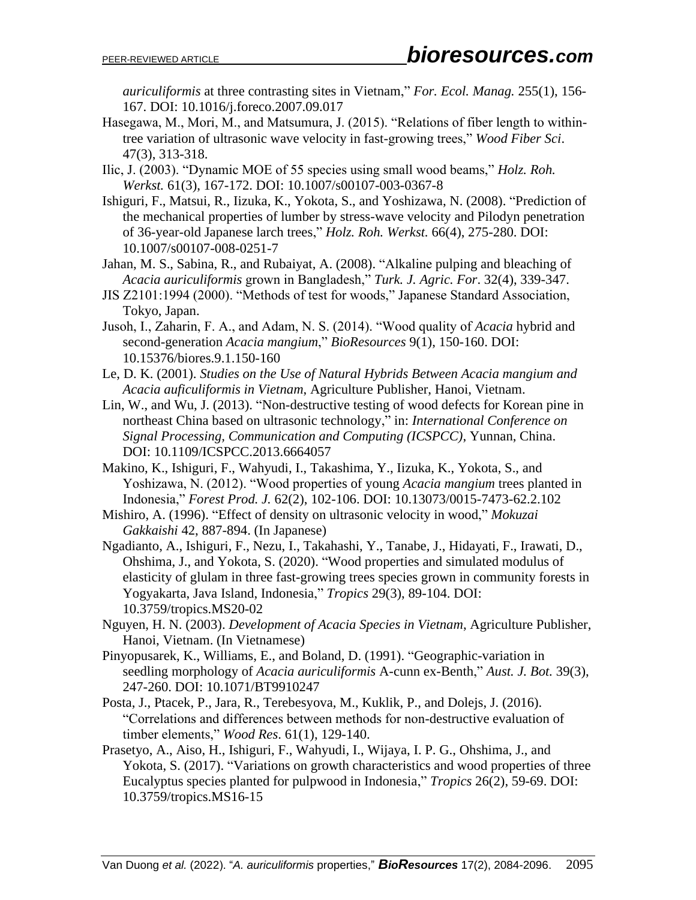*auriculiformis* at three contrasting sites in Vietnam," *For. Ecol. Manag.* 255(1), 156- 167. DOI: [10.1016/j.foreco.2007.09.017](http://dx.doi.org/10.1016/j.foreco.2007.09.017)

- Hasegawa, M., Mori, M., and Matsumura, J. (2015). "Relations of fiber length to withintree variation of ultrasonic wave velocity in fast-growing trees," *Wood Fiber Sci*. 47(3), 313-318.
- Ilic, J. (2003). "Dynamic MOE of 55 species using small wood beams," *Holz. Roh. Werkst.* 61(3), 167-172. DOI: [10.1007/s00107-003-0367-8](http://dx.doi.org/10.1007/s00107-003-0367-8)
- Ishiguri, F., Matsui, R., Iizuka, K., Yokota, S., and Yoshizawa, N. (2008). "Prediction of the mechanical properties of lumber by stress-wave velocity and Pilodyn penetration of 36-year-old Japanese larch trees," *Holz. Roh. Werkst.* 66(4), 275-280. DOI: [10.1007/s00107-008-0251-7](http://dx.doi.org/10.1007/s00107-008-0251-7)
- Jahan, M. S., Sabina, R., and Rubaiyat, A. (2008). "Alkaline pulping and bleaching of *Acacia auriculiformis* grown in Bangladesh," *Turk. J. Agric. For*. 32(4), 339-347.
- JIS Z2101:1994 (2000). "Methods of test for woods," Japanese Standard Association, Tokyo, Japan.
- Jusoh, I., Zaharin, F. A., and Adam, N. S. (2014). "Wood quality of *Acacia* hybrid and second-generation *Acacia mangium*," *BioResources* 9(1), 150-160. DOI: [10.15376/biores.9.1.150-160](http://dx.doi.org/10.15376/biores.9.1.150-160)
- Le, D. K. (2001). *Studies on the Use of Natural Hybrids Between Acacia mangium and Acacia auficuliformis in Vietnam*, Agriculture Publisher, Hanoi, Vietnam.
- Lin, W., and Wu, J. (2013). "Non-destructive testing of wood defects for Korean pine in northeast China based on ultrasonic technology," in: *International Conference on Signal Processing, Communication and Computing (ICSPCC)*, Yunnan, China. DOI: [10.1109/ICSPCC.2013.6664057](http://dx.doi.org/10.1109/ICSPCC.2013.6664057)
- Makino, K., Ishiguri, F., Wahyudi, I., Takashima, Y., Iizuka, K., Yokota, S., and Yoshizawa, N. (2012). "Wood properties of young *Acacia mangium* trees planted in Indonesia," *Forest Prod. J.* 62(2), 102-106. DOI: [10.13073/0015-7473-62.2.102](http://dx.doi.org/10.13073/0015-7473-62.2.102)
- Mishiro, A. (1996). "Effect of density on ultrasonic velocity in wood," *Mokuzai Gakkaishi* 42, 887-894. (In Japanese)
- Ngadianto, A., Ishiguri, F., Nezu, I., Takahashi, Y., Tanabe, J., Hidayati, F., Irawati, D., Ohshima, J., and Yokota, S. (2020). "Wood properties and simulated modulus of elasticity of glulam in three fast-growing trees species grown in community forests in Yogyakarta, Java Island, Indonesia," *Tropics* 29(3), 89-104. DOI: [10.3759/tropics.MS20-02](http://dx.doi.org/10.3759/tropics.MS20-02)
- Nguyen, H. N. (2003). *Development of Acacia Species in Vietnam*, Agriculture Publisher, Hanoi, Vietnam. (In Vietnamese)
- Pinyopusarek, K., Williams, E., and Boland, D. (1991). "Geographic-variation in seedling morphology of *Acacia auriculiformis* A-cunn ex-Benth," *Aust. J. Bot.* 39(3), 247-260. DOI: [10.1071/BT9910247](http://dx.doi.org/10.1071/BT9910247)
- Posta, J., Ptacek, P., Jara, R., Terebesyova, M., Kuklik, P., and Dolejs, J. (2016). "Correlations and differences between methods for non-destructive evaluation of timber elements," *Wood Res*. 61(1), 129-140.
- Prasetyo, A., Aiso, H., Ishiguri, F., Wahyudi, I., Wijaya, I. P. G., Ohshima, J., and Yokota, S. (2017). "Variations on growth characteristics and wood properties of three Eucalyptus species planted for pulpwood in Indonesia," *Tropics* 26(2), 59-69. DOI: [10.3759/tropics.MS16-15](http://dx.doi.org/10.3759/tropics.MS16-15)